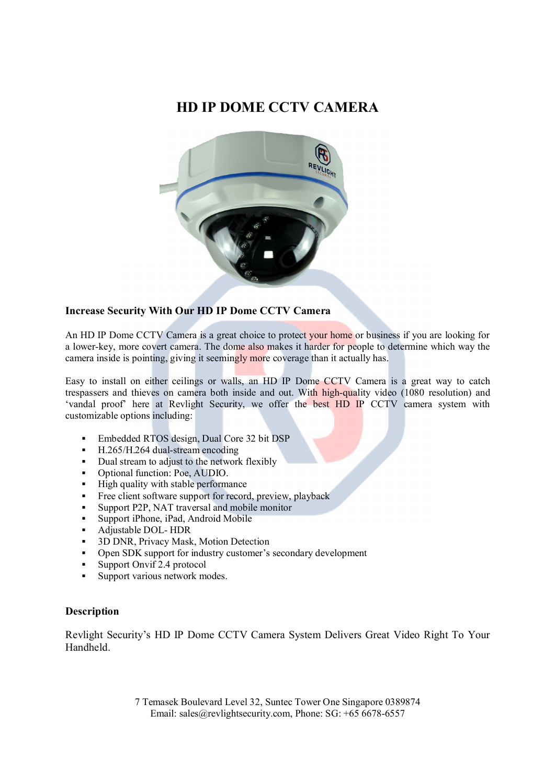## **HD IP DOME CCTV CAMERA**



## **Increase Security With Our HD IP Dome CCTV Camera**

An HD IP Dome CCTV Camera is a great choice to protect your home or business if you are looking for a lower-key, more covert camera. The dome also makes it harder for people to determine which way the camera inside is pointing, giving it seemingly more coverage than it actually has.

Easy to install on either ceilings or walls, an HD IP Dome CCTV Camera is a great way to catch trespassers and thieves on camera both inside and out. With high-quality video (1080 resolution) and 'vandal proof' here at Revlight Security, we offer the best HD IP CCTV camera system with customizable options including:

- Embedded RTOS design, Dual Core 32 bit DSP
- H.265/H.264 dual-stream encoding
- Dual stream to adjust to the network flexibly
- Optional function: Poe, AUDIO.
- $\blacksquare$  High quality with stable performance
- Free client software support for record, preview, playback
- Support P2P, NAT traversal and mobile monitor
- Support iPhone, iPad, Android Mobile
- Adjustable DOL- HDR
- **3D DNR, Privacy Mask, Motion Detection**
- Open SDK support for industry customer's secondary development
- Support Onvif 2.4 protocol<br>• Support various network me
- Support various network modes.

## **Description**

Revlight Security's HD IP Dome CCTV Camera System Delivers Great Video Right To Your Handheld.

> 7 Temasek Boulevard Level 32, Suntec Tower One Singapore 0389874 Email: sales@revlightsecurity.com, Phone: SG: +65 6678-6557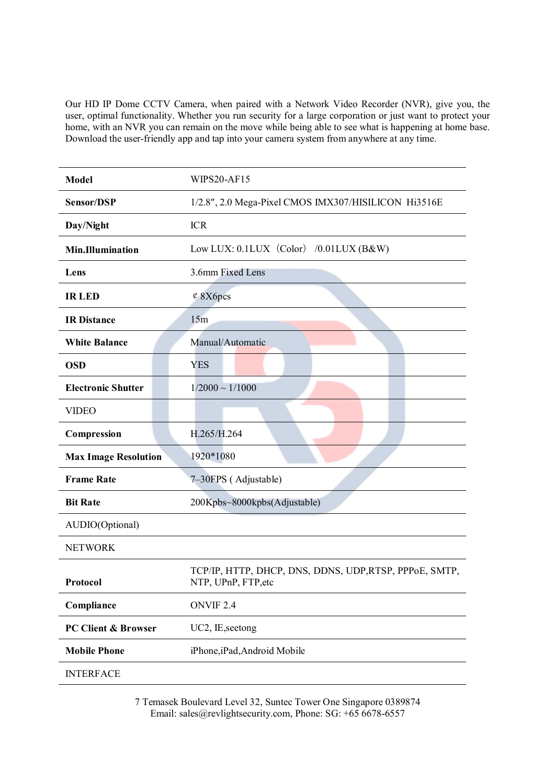Our HD IP Dome CCTV Camera, when paired with a Network Video Recorder (NVR), give you, the user, optimal functionality. Whether you run security for a large corporation or just want to protect your home, with an NVR you can remain on the move while being able to see what is happening at home base. Download the user-friendly app and tap into your camera system from anywhere at any time.

| <b>Model</b>                             | WIPS20-AF15                                                                   |
|------------------------------------------|-------------------------------------------------------------------------------|
| Sensor/DSP                               | 1/2.8", 2.0 Mega-Pixel CMOS IMX307/HISILICON Hi3516E                          |
| Day/Night                                | <b>ICR</b>                                                                    |
| <b>Min.Illumination</b>                  | Low LUX: 0.1LUX (Color) /0.01LUX (B&W)                                        |
| Lens                                     | 3.6mm Fixed Lens                                                              |
| <b>IRLED</b>                             | $\text{\textdegree}$ 8X6pcs                                                   |
| <b>IR Distance</b>                       | 15m                                                                           |
| <b>White Balance</b>                     | Manual/Automatic                                                              |
| <b>OSD</b>                               | <b>YES</b>                                                                    |
| <b>Electronic Shutter</b>                | $1/2000 \sim 1/1000$                                                          |
| <b>VIDEO</b>                             |                                                                               |
| Compression                              | H.265/H.264                                                                   |
| <b>Max Image Resolution</b><br>1920*1080 |                                                                               |
| <b>Frame Rate</b>                        | 7-30FPS (Adjustable)                                                          |
| <b>Bit Rate</b>                          | 200Kpbs~8000kpbs(Adjustable)                                                  |
| AUDIO(Optional)                          |                                                                               |
| <b>NETWORK</b>                           |                                                                               |
| Protocol                                 | TCP/IP, HTTP, DHCP, DNS, DDNS, UDP, RTSP, PPPoE, SMTP,<br>NTP, UPnP, FTP, etc |
| Compliance                               | ONVIF <sub>2.4</sub>                                                          |
| <b>PC Client &amp; Browser</b>           | UC2, IE, seetong                                                              |
| <b>Mobile Phone</b>                      | iPhone, iPad, Android Mobile                                                  |
| <b>INTERFACE</b>                         |                                                                               |

7 Temasek Boulevard Level 32, Suntec Tower One Singapore 0389874 Email: sales@revlightsecurity.com, Phone: SG: +65 6678-6557